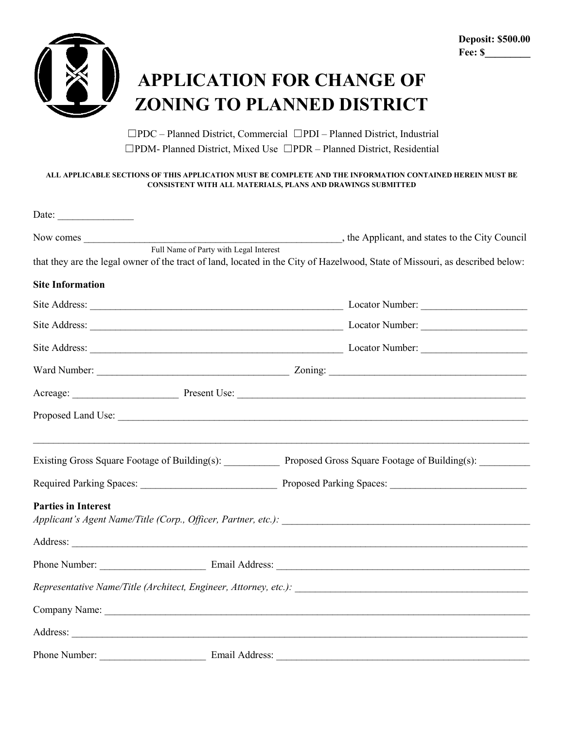

## **APPLICATION FOR CHANGE OF ZONING TO PLANNED DISTRICT**

☐PDC – Planned District, Commercial ☐PDI – Planned District, Industrial ☐PDM- Planned District, Mixed Use ☐PDR – Planned District, Residential

## **ALL APPLICABLE SECTIONS OF THIS APPLICATION MUST BE COMPLETE AND THE INFORMATION CONTAINED HEREIN MUST BE CONSISTENT WITH ALL MATERIALS, PLANS AND DRAWINGS SUBMITTED**

| Date:                      |                                        |  |                                                                                                                              |  |
|----------------------------|----------------------------------------|--|------------------------------------------------------------------------------------------------------------------------------|--|
|                            |                                        |  |                                                                                                                              |  |
|                            | Full Name of Party with Legal Interest |  | that they are the legal owner of the tract of land, located in the City of Hazelwood, State of Missouri, as described below: |  |
| <b>Site Information</b>    |                                        |  |                                                                                                                              |  |
|                            |                                        |  |                                                                                                                              |  |
|                            |                                        |  |                                                                                                                              |  |
|                            |                                        |  |                                                                                                                              |  |
|                            |                                        |  |                                                                                                                              |  |
|                            |                                        |  |                                                                                                                              |  |
|                            |                                        |  |                                                                                                                              |  |
|                            |                                        |  | Existing Gross Square Footage of Building(s): Proposed Gross Square Footage of Building(s):                                  |  |
|                            |                                        |  |                                                                                                                              |  |
| <b>Parties in Interest</b> |                                        |  |                                                                                                                              |  |
|                            |                                        |  |                                                                                                                              |  |
|                            |                                        |  | Phone Number: Email Address: Email Address:                                                                                  |  |
|                            |                                        |  |                                                                                                                              |  |
|                            |                                        |  |                                                                                                                              |  |
|                            |                                        |  |                                                                                                                              |  |
| Phone Number:              | Email Address:                         |  |                                                                                                                              |  |